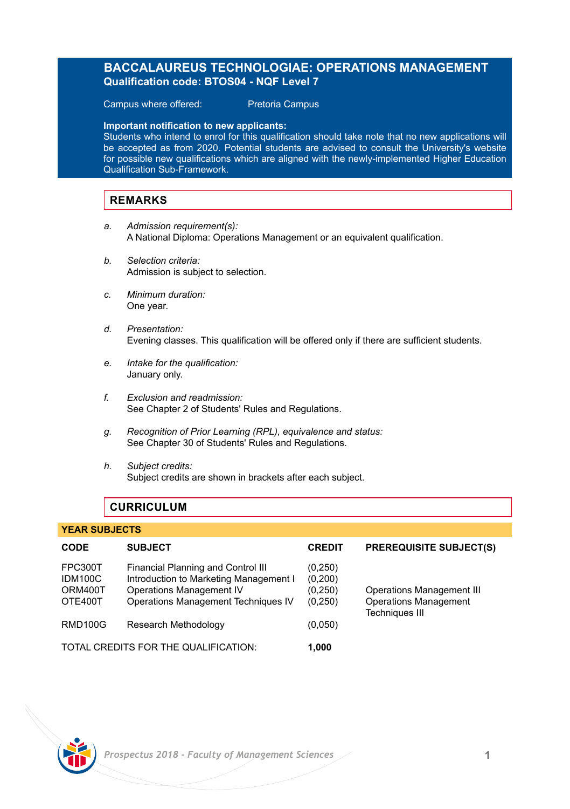# **BACCALAUREUS TECHNOLOGIAE: OPERATIONS MANAGEMENT Qualification code: BTOS04 - NQF Level 7**

Campus where offered: Pretoria Campus

**Important notification to new applicants:** 

Students who intend to enrol for this qualification should take note that no new applications will be accepted as from 2020. Potential students are advised to consult the University's website for possible new qualifications which are aligned with the newly-implemented Higher Education Qualification Sub-Framework.

### **REMARKS**

- *a. Admission requirement(s):* A National Diploma: Operations Management or an equivalent qualification.
- *b. Selection criteria:* Admission is subject to selection.
- *c. Minimum duration:* One year.
- *d. Presentation:* Evening classes. This qualification will be offered only if there are sufficient students.
- *e. Intake for the qualification:* January only.
- *f. Exclusion and readmission:* See Chapter 2 of Students' Rules and Regulations.
- *g. Recognition of Prior Learning (RPL), equivalence and status:* See Chapter 30 of Students' Rules and Regulations.
- *h. Subject credits:* Subject credits are shown in brackets after each subject.

# **CURRICULUM**

# **YEAR SUBJECTS CODE SUBJECT CREDIT PREREQUISITE SUBJECT(S)** FPC300T Financial Planning and Control III (0,250)<br>IDM100C Introduction to Marketing Management | (0.200) Introduction to Marketing Management I ORM400T Operations Management IV (0,250) Operations Management III<br>OTE400T Operations Management Techniques IV (0.250) Operations Management Operations Management Techniques IV Techniques III RMD100G Research Methodology (0,050) TOTAL CREDITS FOR THE QUALIFICATION: **1,000**